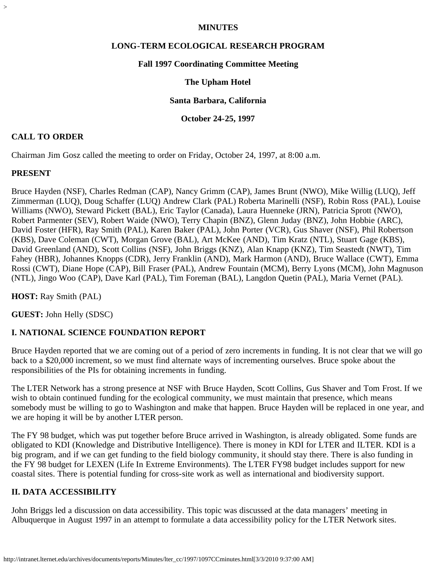### **MINUTES**

### **LONG-TERM ECOLOGICAL RESEARCH PROGRAM**

#### **Fall 1997 Coordinating Committee Meeting**

### **The Upham Hotel**

#### **Santa Barbara, California**

#### **October 24-25, 1997**

### **CALL TO ORDER**

Chairman Jim Gosz called the meeting to order on Friday, October 24, 1997, at 8:00 a.m.

### **PRESENT**

>

Bruce Hayden (NSF), Charles Redman (CAP), Nancy Grimm (CAP), James Brunt (NWO), Mike Willig (LUQ), Jeff Zimmerman (LUQ), Doug Schaffer (LUQ) Andrew Clark (PAL) Roberta Marinelli (NSF), Robin Ross (PAL), Louise Williams (NWO), Steward Pickett (BAL), Eric Taylor (Canada), Laura Huenneke (JRN), Patricia Sprott (NWO), Robert Parmenter (SEV), Robert Waide (NWO), Terry Chapin (BNZ), Glenn Juday (BNZ), John Hobbie (ARC), David Foster (HFR), Ray Smith (PAL), Karen Baker (PAL), John Porter (VCR), Gus Shaver (NSF), Phil Robertson (KBS), Dave Coleman (CWT), Morgan Grove (BAL), Art McKee (AND), Tim Kratz (NTL), Stuart Gage (KBS), David Greenland (AND), Scott Collins (NSF), John Briggs (KNZ), Alan Knapp (KNZ), Tim Seastedt (NWT), Tim Fahey (HBR), Johannes Knopps (CDR), Jerry Franklin (AND), Mark Harmon (AND), Bruce Wallace (CWT), Emma Rossi (CWT), Diane Hope (CAP), Bill Fraser (PAL), Andrew Fountain (MCM), Berry Lyons (MCM), John Magnuson (NTL), Jingo Woo (CAP), Dave Karl (PAL), Tim Foreman (BAL), Langdon Quetin (PAL), Maria Vernet (PAL).

**HOST:** Ray Smith (PAL)

**GUEST:** John Helly (SDSC)

### **I. NATIONAL SCIENCE FOUNDATION REPORT**

Bruce Hayden reported that we are coming out of a period of zero increments in funding. It is not clear that we will go back to a \$20,000 increment, so we must find alternate ways of incrementing ourselves. Bruce spoke about the responsibilities of the PIs for obtaining increments in funding.

The LTER Network has a strong presence at NSF with Bruce Hayden, Scott Collins, Gus Shaver and Tom Frost. If we wish to obtain continued funding for the ecological community, we must maintain that presence, which means somebody must be willing to go to Washington and make that happen. Bruce Hayden will be replaced in one year, and we are hoping it will be by another LTER person.

The FY 98 budget, which was put together before Bruce arrived in Washington, is already obligated. Some funds are obligated to KDI (Knowledge and Distributive Intelligence). There is money in KDI for LTER and ILTER. KDI is a big program, and if we can get funding to the field biology community, it should stay there. There is also funding in the FY 98 budget for LEXEN (Life In Extreme Environments). The LTER FY98 budget includes support for new coastal sites. There is potential funding for cross-site work as well as international and biodiversity support.

## **II. DATA ACCESSIBILITY**

John Briggs led a discussion on data accessibility. This topic was discussed at the data managers' meeting in Albuquerque in August 1997 in an attempt to formulate a data accessibility policy for the LTER Network sites.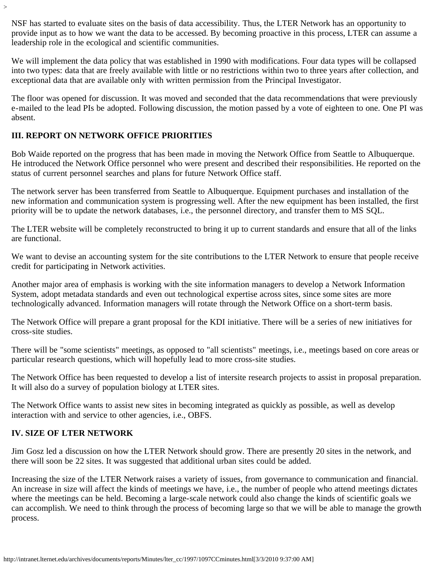NSF has started to evaluate sites on the basis of data accessibility. Thus, the LTER Network has an opportunity to provide input as to how we want the data to be accessed. By becoming proactive in this process, LTER can assume a leadership role in the ecological and scientific communities.

We will implement the data policy that was established in 1990 with modifications. Four data types will be collapsed into two types: data that are freely available with little or no restrictions within two to three years after collection, and exceptional data that are available only with written permission from the Principal Investigator.

The floor was opened for discussion. It was moved and seconded that the data recommendations that were previously e-mailed to the lead PIs be adopted. Following discussion, the motion passed by a vote of eighteen to one. One PI was absent.

# **III. REPORT ON NETWORK OFFICE PRIORITIES**

>

Bob Waide reported on the progress that has been made in moving the Network Office from Seattle to Albuquerque. He introduced the Network Office personnel who were present and described their responsibilities. He reported on the status of current personnel searches and plans for future Network Office staff.

The network server has been transferred from Seattle to Albuquerque. Equipment purchases and installation of the new information and communication system is progressing well. After the new equipment has been installed, the first priority will be to update the network databases, i.e., the personnel directory, and transfer them to MS SQL.

The LTER website will be completely reconstructed to bring it up to current standards and ensure that all of the links are functional.

We want to devise an accounting system for the site contributions to the LTER Network to ensure that people receive credit for participating in Network activities.

Another major area of emphasis is working with the site information managers to develop a Network Information System, adopt metadata standards and even out technological expertise across sites, since some sites are more technologically advanced. Information managers will rotate through the Network Office on a short-term basis.

The Network Office will prepare a grant proposal for the KDI initiative. There will be a series of new initiatives for cross-site studies.

There will be "some scientists" meetings, as opposed to "all scientists" meetings, i.e., meetings based on core areas or particular research questions, which will hopefully lead to more cross-site studies.

The Network Office has been requested to develop a list of intersite research projects to assist in proposal preparation. It will also do a survey of population biology at LTER sites.

The Network Office wants to assist new sites in becoming integrated as quickly as possible, as well as develop interaction with and service to other agencies, i.e., OBFS.

## **IV. SIZE OF LTER NETWORK**

Jim Gosz led a discussion on how the LTER Network should grow. There are presently 20 sites in the network, and there will soon be 22 sites. It was suggested that additional urban sites could be added.

Increasing the size of the LTER Network raises a variety of issues, from governance to communication and financial. An increase in size will affect the kinds of meetings we have, i.e., the number of people who attend meetings dictates where the meetings can be held. Becoming a large-scale network could also change the kinds of scientific goals we can accomplish. We need to think through the process of becoming large so that we will be able to manage the growth process.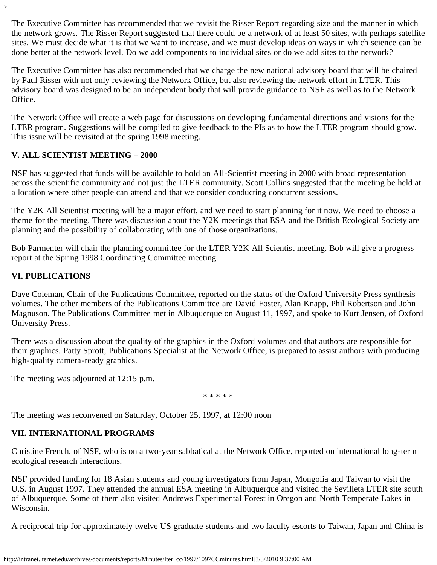The Executive Committee has recommended that we revisit the Risser Report regarding size and the manner in which the network grows. The Risser Report suggested that there could be a network of at least 50 sites, with perhaps satellite sites. We must decide what it is that we want to increase, and we must develop ideas on ways in which science can be done better at the network level. Do we add components to individual sites or do we add sites to the network?

The Executive Committee has also recommended that we charge the new national advisory board that will be chaired by Paul Risser with not only reviewing the Network Office, but also reviewing the network effort in LTER. This advisory board was designed to be an independent body that will provide guidance to NSF as well as to the Network Office.

The Network Office will create a web page for discussions on developing fundamental directions and visions for the LTER program. Suggestions will be compiled to give feedback to the PIs as to how the LTER program should grow. This issue will be revisited at the spring 1998 meeting.

## **V. ALL SCIENTIST MEETING – 2000**

NSF has suggested that funds will be available to hold an All-Scientist meeting in 2000 with broad representation across the scientific community and not just the LTER community. Scott Collins suggested that the meeting be held at a location where other people can attend and that we consider conducting concurrent sessions.

The Y2K All Scientist meeting will be a major effort, and we need to start planning for it now. We need to choose a theme for the meeting. There was discussion about the Y2K meetings that ESA and the British Ecological Society are planning and the possibility of collaborating with one of those organizations.

Bob Parmenter will chair the planning committee for the LTER Y2K All Scientist meeting. Bob will give a progress report at the Spring 1998 Coordinating Committee meeting.

## **VI. PUBLICATIONS**

>

Dave Coleman, Chair of the Publications Committee, reported on the status of the Oxford University Press synthesis volumes. The other members of the Publications Committee are David Foster, Alan Knapp, Phil Robertson and John Magnuson. The Publications Committee met in Albuquerque on August 11, 1997, and spoke to Kurt Jensen, of Oxford University Press.

There was a discussion about the quality of the graphics in the Oxford volumes and that authors are responsible for their graphics. Patty Sprott, Publications Specialist at the Network Office, is prepared to assist authors with producing high-quality camera-ready graphics.

The meeting was adjourned at 12:15 p.m.

\* \* \* \* \*

The meeting was reconvened on Saturday, October 25, 1997, at 12:00 noon

# **VII. INTERNATIONAL PROGRAMS**

Christine French, of NSF, who is on a two-year sabbatical at the Network Office, reported on international long-term ecological research interactions.

NSF provided funding for 18 Asian students and young investigators from Japan, Mongolia and Taiwan to visit the U.S. in August 1997. They attended the annual ESA meeting in Albuquerque and visited the Sevilleta LTER site south of Albuquerque. Some of them also visited Andrews Experimental Forest in Oregon and North Temperate Lakes in Wisconsin.

A reciprocal trip for approximately twelve US graduate students and two faculty escorts to Taiwan, Japan and China is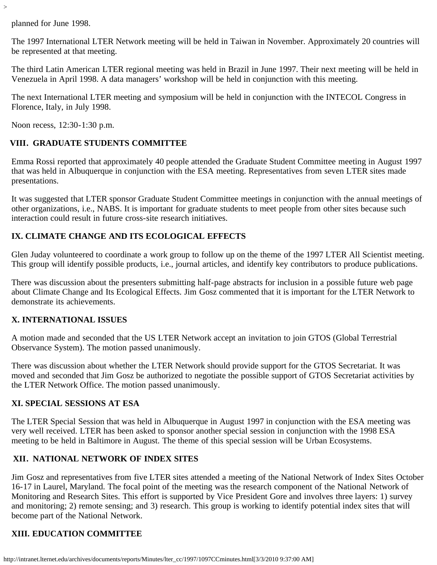planned for June 1998.

>

The 1997 International LTER Network meeting will be held in Taiwan in November. Approximately 20 countries will be represented at that meeting.

The third Latin American LTER regional meeting was held in Brazil in June 1997. Their next meeting will be held in Venezuela in April 1998. A data managers' workshop will be held in conjunction with this meeting.

The next International LTER meeting and symposium will be held in conjunction with the INTECOL Congress in Florence, Italy, in July 1998.

Noon recess, 12:30-1:30 p.m.

## **VIII. GRADUATE STUDENTS COMMITTEE**

Emma Rossi reported that approximately 40 people attended the Graduate Student Committee meeting in August 1997 that was held in Albuquerque in conjunction with the ESA meeting. Representatives from seven LTER sites made presentations.

It was suggested that LTER sponsor Graduate Student Committee meetings in conjunction with the annual meetings of other organizations, i.e., NABS. It is important for graduate students to meet people from other sites because such interaction could result in future cross-site research initiatives.

## **IX. CLIMATE CHANGE AND ITS ECOLOGICAL EFFECTS**

Glen Juday volunteered to coordinate a work group to follow up on the theme of the 1997 LTER All Scientist meeting. This group will identify possible products, i.e., journal articles, and identify key contributors to produce publications.

There was discussion about the presenters submitting half-page abstracts for inclusion in a possible future web page about Climate Change and Its Ecological Effects. Jim Gosz commented that it is important for the LTER Network to demonstrate its achievements.

## **X. INTERNATIONAL ISSUES**

A motion made and seconded that the US LTER Network accept an invitation to join GTOS (Global Terrestrial Observance System). The motion passed unanimously.

There was discussion about whether the LTER Network should provide support for the GTOS Secretariat. It was moved and seconded that Jim Gosz be authorized to negotiate the possible support of GTOS Secretariat activities by the LTER Network Office. The motion passed unanimously.

## **XI. SPECIAL SESSIONS AT ESA**

The LTER Special Session that was held in Albuquerque in August 1997 in conjunction with the ESA meeting was very well received. LTER has been asked to sponsor another special session in conjunction with the 1998 ESA meeting to be held in Baltimore in August. The theme of this special session will be Urban Ecosystems.

## **XII. NATIONAL NETWORK OF INDEX SITES**

Jim Gosz and representatives from five LTER sites attended a meeting of the National Network of Index Sites October 16-17 in Laurel, Maryland. The focal point of the meeting was the research component of the National Network of Monitoring and Research Sites. This effort is supported by Vice President Gore and involves three layers: 1) survey and monitoring; 2) remote sensing; and 3) research. This group is working to identify potential index sites that will become part of the National Network.

# **XIII. EDUCATION COMMITTEE**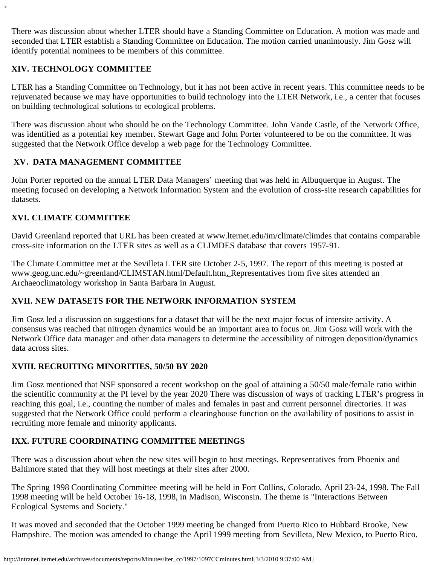There was discussion about whether LTER should have a Standing Committee on Education. A motion was made and seconded that LTER establish a Standing Committee on Education. The motion carried unanimously. Jim Gosz will identify potential nominees to be members of this committee.

## **XIV. TECHNOLOGY COMMITTEE**

>

LTER has a Standing Committee on Technology, but it has not been active in recent years. This committee needs to be rejuvenated because we may have opportunities to build technology into the LTER Network, i.e., a center that focuses on building technological solutions to ecological problems.

There was discussion about who should be on the Technology Committee. John Vande Castle, of the Network Office, was identified as a potential key member. Stewart Gage and John Porter volunteered to be on the committee. It was suggested that the Network Office develop a web page for the Technology Committee.

# **XV. DATA MANAGEMENT COMMITTEE**

John Porter reported on the annual LTER Data Managers' meeting that was held in Albuquerque in August. The meeting focused on developing a Network Information System and the evolution of cross-site research capabilities for datasets.

# **XVI. CLIMATE COMMITTEE**

David Greenland reported that URL has been created at www.lternet.edu/im/climate/climdes that contains comparable cross-site information on the LTER sites as well as a CLIMDES database that covers 1957-91.

The Climate Committee met at the Sevilleta LTER site October 2-5, 1997. The report of this meeting is posted at www.geog.unc.edu/~greenland/CLIMSTAN.html/Default.htm. Representatives from five sites attended an Archaeoclimatology workshop in Santa Barbara in August.

# **XVII. NEW DATASETS FOR THE NETWORK INFORMATION SYSTEM**

Jim Gosz led a discussion on suggestions for a dataset that will be the next major focus of intersite activity. A consensus was reached that nitrogen dynamics would be an important area to focus on. Jim Gosz will work with the Network Office data manager and other data managers to determine the accessibility of nitrogen deposition/dynamics data across sites.

# **XVIII. RECRUITING MINORITIES, 50/50 BY 2020**

Jim Gosz mentioned that NSF sponsored a recent workshop on the goal of attaining a 50/50 male/female ratio within the scientific community at the PI level by the year 2020 There was discussion of ways of tracking LTER's progress in reaching this goal, i.e., counting the number of males and females in past and current personnel directories. It was suggested that the Network Office could perform a clearinghouse function on the availability of positions to assist in recruiting more female and minority applicants.

# **IXX. FUTURE COORDINATING COMMITTEE MEETINGS**

There was a discussion about when the new sites will begin to host meetings. Representatives from Phoenix and Baltimore stated that they will host meetings at their sites after 2000.

The Spring 1998 Coordinating Committee meeting will be held in Fort Collins, Colorado, April 23-24, 1998. The Fall 1998 meeting will be held October 16-18, 1998, in Madison, Wisconsin. The theme is "Interactions Between Ecological Systems and Society."

It was moved and seconded that the October 1999 meeting be changed from Puerto Rico to Hubbard Brooke, New Hampshire. The motion was amended to change the April 1999 meeting from Sevilleta, New Mexico, to Puerto Rico.